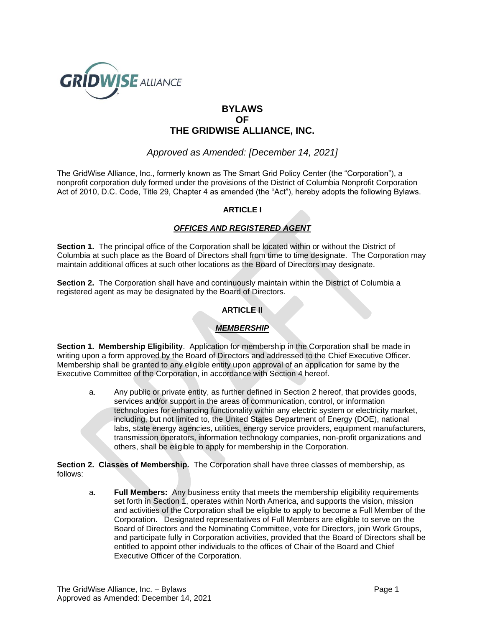

# **BYLAWS OF THE GRIDWISE ALLIANCE, INC.**

*Approved as Amended: [December 14, 2021]*

The GridWise Alliance, Inc., formerly known as The Smart Grid Policy Center (the "Corporation"), a nonprofit corporation duly formed under the provisions of the District of Columbia Nonprofit Corporation Act of 2010, D.C. Code, Title 29, Chapter 4 as amended (the "Act"), hereby adopts the following Bylaws.

## **ARTICLE I**

## *OFFICES AND REGISTERED AGENT*

**Section 1.** The principal office of the Corporation shall be located within or without the District of Columbia at such place as the Board of Directors shall from time to time designate. The Corporation may maintain additional offices at such other locations as the Board of Directors may designate.

**Section 2.** The Corporation shall have and continuously maintain within the District of Columbia a registered agent as may be designated by the Board of Directors.

## **ARTICLE II**

# *MEMBERSHIP*

**Section 1. Membership Eligibility**. Application for membership in the Corporation shall be made in writing upon a form approved by the Board of Directors and addressed to the Chief Executive Officer. Membership shall be granted to any eligible entity upon approval of an application for same by the Executive Committee of the Corporation, in accordance with Section 4 hereof.

a. Any public or private entity, as further defined in Section 2 hereof, that provides goods, services and/or support in the areas of communication, control, or information technologies for enhancing functionality within any electric system or electricity market, including, but not limited to, the United States Department of Energy (DOE), national labs, state energy agencies, utilities, energy service providers, equipment manufacturers, transmission operators, information technology companies, non-profit organizations and others, shall be eligible to apply for membership in the Corporation.

**Section 2. Classes of Membership.** The Corporation shall have three classes of membership, as follows:

a. **Full Members:** Any business entity that meets the membership eligibility requirements set forth in Section 1, operates within North America, and supports the vision, mission and activities of the Corporation shall be eligible to apply to become a Full Member of the Corporation. Designated representatives of Full Members are eligible to serve on the Board of Directors and the Nominating Committee, vote for Directors, join Work Groups, and participate fully in Corporation activities, provided that the Board of Directors shall be entitled to appoint other individuals to the offices of Chair of the Board and Chief Executive Officer of the Corporation.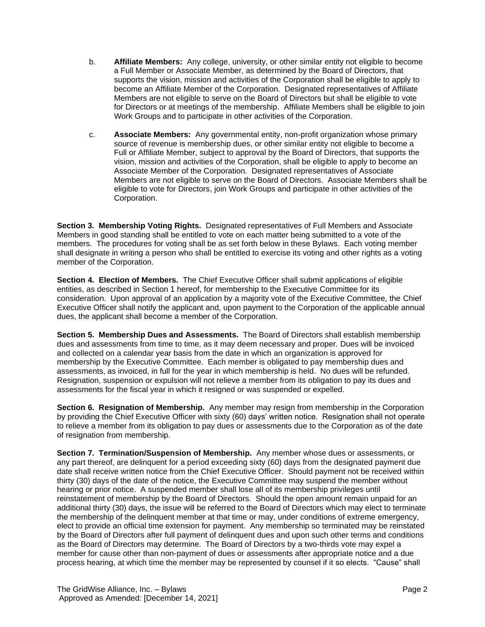- b. **Affiliate Members:** Any college, university, or other similar entity not eligible to become a Full Member or Associate Member, as determined by the Board of Directors, that supports the vision, mission and activities of the Corporation shall be eligible to apply to become an Affiliate Member of the Corporation. Designated representatives of Affiliate Members are not eligible to serve on the Board of Directors but shall be eligible to vote for Directors or at meetings of the membership. Affiliate Members shall be eligible to join Work Groups and to participate in other activities of the Corporation.
- c. **Associate Members:** Any governmental entity, non-profit organization whose primary source of revenue is membership dues, or other similar entity not eligible to become a Full or Affiliate Member, subject to approval by the Board of Directors, that supports the vision, mission and activities of the Corporation, shall be eligible to apply to become an Associate Member of the Corporation. Designated representatives of Associate Members are not eligible to serve on the Board of Directors. Associate Members shall be eligible to vote for Directors, join Work Groups and participate in other activities of the Corporation.

**Section 3. Membership Voting Rights.** Designated representatives of Full Members and Associate Members in good standing shall be entitled to vote on each matter being submitted to a vote of the members. The procedures for voting shall be as set forth below in these Bylaws. Each voting member shall designate in writing a person who shall be entitled to exercise its voting and other rights as a voting member of the Corporation.

**Section 4. Election of Members.** The Chief Executive Officer shall submit applications of eligible entities, as described in Section 1 hereof, for membership to the Executive Committee for its consideration. Upon approval of an application by a majority vote of the Executive Committee, the Chief Executive Officer shall notify the applicant and, upon payment to the Corporation of the applicable annual dues, the applicant shall become a member of the Corporation.

**Section 5. Membership Dues and Assessments.** The Board of Directors shall establish membership dues and assessments from time to time, as it may deem necessary and proper. Dues will be invoiced and collected on a calendar year basis from the date in which an organization is approved for membership by the Executive Committee. Each member is obligated to pay membership dues and assessments, as invoiced, in full for the year in which membership is held. No dues will be refunded. Resignation, suspension or expulsion will not relieve a member from its obligation to pay its dues and assessments for the fiscal year in which it resigned or was suspended or expelled.

**Section 6. Resignation of Membership.** Any member may resign from membership in the Corporation by providing the Chief Executive Officer with sixty (60) days' written notice. Resignation shall not operate to relieve a member from its obligation to pay dues or assessments due to the Corporation as of the date of resignation from membership.

**Section 7. Termination/Suspension of Membership.** Any member whose dues or assessments, or any part thereof, are delinquent for a period exceeding sixty (60) days from the designated payment due date shall receive written notice from the Chief Executive Officer. Should payment not be received within thirty (30) days of the date of the notice, the Executive Committee may suspend the member without hearing or prior notice. A suspended member shall lose all of its membership privileges until reinstatement of membership by the Board of Directors. Should the open amount remain unpaid for an additional thirty (30) days, the issue will be referred to the Board of Directors which may elect to terminate the membership of the delinquent member at that time or may, under conditions of extreme emergency, elect to provide an official time extension for payment. Any membership so terminated may be reinstated by the Board of Directors after full payment of delinquent dues and upon such other terms and conditions as the Board of Directors may determine. The Board of Directors by a two-thirds vote may expel a member for cause other than non-payment of dues or assessments after appropriate notice and a due process hearing, at which time the member may be represented by counsel if it so elects. "Cause" shall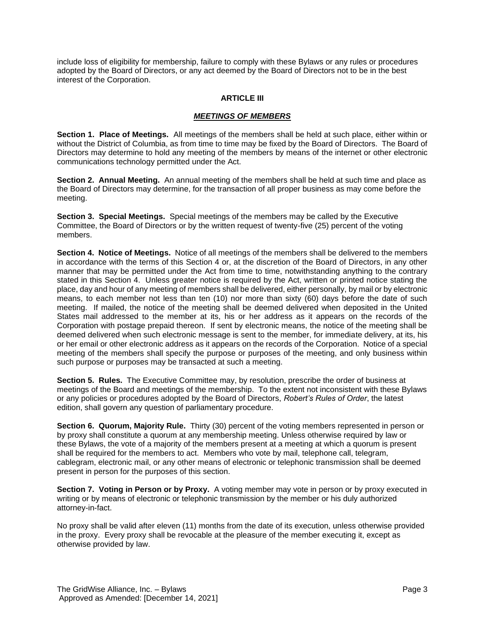include loss of eligibility for membership, failure to comply with these Bylaws or any rules or procedures adopted by the Board of Directors, or any act deemed by the Board of Directors not to be in the best interest of the Corporation.

### **ARTICLE III**

#### *MEETINGS OF MEMBERS*

**Section 1. Place of Meetings.** All meetings of the members shall be held at such place, either within or without the District of Columbia, as from time to time may be fixed by the Board of Directors. The Board of Directors may determine to hold any meeting of the members by means of the internet or other electronic communications technology permitted under the Act.

**Section 2. Annual Meeting.** An annual meeting of the members shall be held at such time and place as the Board of Directors may determine, for the transaction of all proper business as may come before the meeting.

**Section 3. Special Meetings.** Special meetings of the members may be called by the Executive Committee, the Board of Directors or by the written request of twenty-five (25) percent of the voting members.

**Section 4. Notice of Meetings.** Notice of all meetings of the members shall be delivered to the members in accordance with the terms of this Section 4 or, at the discretion of the Board of Directors, in any other manner that may be permitted under the Act from time to time, notwithstanding anything to the contrary stated in this Section 4. Unless greater notice is required by the Act, written or printed notice stating the place, day and hour of any meeting of members shall be delivered, either personally, by mail or by electronic means, to each member not less than ten (10) nor more than sixty (60) days before the date of such meeting. If mailed, the notice of the meeting shall be deemed delivered when deposited in the United States mail addressed to the member at its, his or her address as it appears on the records of the Corporation with postage prepaid thereon. If sent by electronic means, the notice of the meeting shall be deemed delivered when such electronic message is sent to the member, for immediate delivery, at its, his or her email or other electronic address as it appears on the records of the Corporation. Notice of a special meeting of the members shall specify the purpose or purposes of the meeting, and only business within such purpose or purposes may be transacted at such a meeting.

**Section 5. Rules.** The Executive Committee may, by resolution, prescribe the order of business at meetings of the Board and meetings of the membership. To the extent not inconsistent with these Bylaws or any policies or procedures adopted by the Board of Directors, *Robert's Rules of Order*, the latest edition, shall govern any question of parliamentary procedure.

**Section 6. Quorum, Majority Rule.** Thirty (30) percent of the voting members represented in person or by proxy shall constitute a quorum at any membership meeting. Unless otherwise required by law or these Bylaws, the vote of a majority of the members present at a meeting at which a quorum is present shall be required for the members to act. Members who vote by mail, telephone call, telegram, cablegram, electronic mail, or any other means of electronic or telephonic transmission shall be deemed present in person for the purposes of this section.

**Section 7. Voting in Person or by Proxy.** A voting member may vote in person or by proxy executed in writing or by means of electronic or telephonic transmission by the member or his duly authorized attorney-in-fact.

No proxy shall be valid after eleven (11) months from the date of its execution, unless otherwise provided in the proxy. Every proxy shall be revocable at the pleasure of the member executing it, except as otherwise provided by law.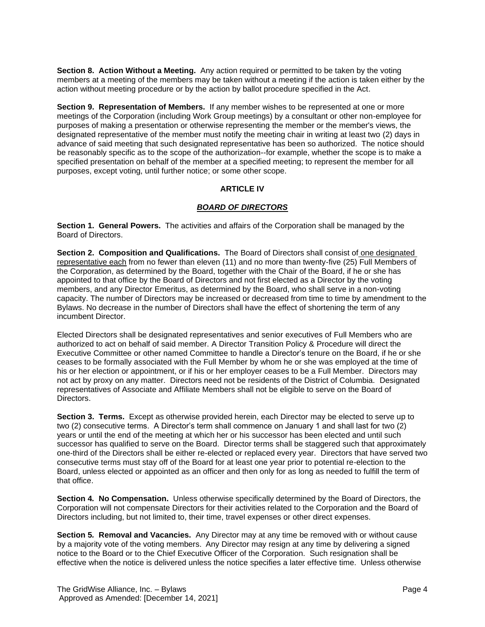**Section 8. Action Without a Meeting.** Any action required or permitted to be taken by the voting members at a meeting of the members may be taken without a meeting if the action is taken either by the action without meeting procedure or by the action by ballot procedure specified in the Act.

**Section 9. Representation of Members.** If any member wishes to be represented at one or more meetings of the Corporation (including Work Group meetings) by a consultant or other non-employee for purposes of making a presentation or otherwise representing the member or the member's views, the designated representative of the member must notify the meeting chair in writing at least two (2) days in advance of said meeting that such designated representative has been so authorized. The notice should be reasonably specific as to the scope of the authorization--for example, whether the scope is to make a specified presentation on behalf of the member at a specified meeting; to represent the member for all purposes, except voting, until further notice; or some other scope.

## **ARTICLE IV**

## *BOARD OF DIRECTORS*

**Section 1. General Powers.** The activities and affairs of the Corporation shall be managed by the Board of Directors.

**Section 2. Composition and Qualifications.** The Board of Directors shall consist of one designated representative each from no fewer than eleven (11) and no more than twenty-five (25) Full Members of the Corporation, as determined by the Board, together with the Chair of the Board, if he or she has appointed to that office by the Board of Directors and not first elected as a Director by the voting members, and any Director Emeritus, as determined by the Board, who shall serve in a non-voting capacity. The number of Directors may be increased or decreased from time to time by amendment to the Bylaws. No decrease in the number of Directors shall have the effect of shortening the term of any incumbent Director.

Elected Directors shall be designated representatives and senior executives of Full Members who are authorized to act on behalf of said member. A Director Transition Policy & Procedure will direct the Executive Committee or other named Committee to handle a Director's tenure on the Board, if he or she ceases to be formally associated with the Full Member by whom he or she was employed at the time of his or her election or appointment, or if his or her employer ceases to be a Full Member. Directors may not act by proxy on any matter. Directors need not be residents of the District of Columbia. Designated representatives of Associate and Affiliate Members shall not be eligible to serve on the Board of Directors.

**Section 3. Terms.** Except as otherwise provided herein, each Director may be elected to serve up to two (2) consecutive terms. A Director's term shall commence on January 1 and shall last for two (2) years or until the end of the meeting at which her or his successor has been elected and until such successor has qualified to serve on the Board. Director terms shall be staggered such that approximately one-third of the Directors shall be either re-elected or replaced every year. Directors that have served two consecutive terms must stay off of the Board for at least one year prior to potential re-election to the Board, unless elected or appointed as an officer and then only for as long as needed to fulfill the term of that office.

**Section 4***.* **No Compensation.** Unless otherwise specifically determined by the Board of Directors, the Corporation will not compensate Directors for their activities related to the Corporation and the Board of Directors including, but not limited to, their time, travel expenses or other direct expenses.

**Section 5***.* **Removal and Vacancies.** Any Director may at any time be removed with or without cause by a majority vote of the voting members. Any Director may resign at any time by delivering a signed notice to the Board or to the Chief Executive Officer of the Corporation. Such resignation shall be effective when the notice is delivered unless the notice specifies a later effective time. Unless otherwise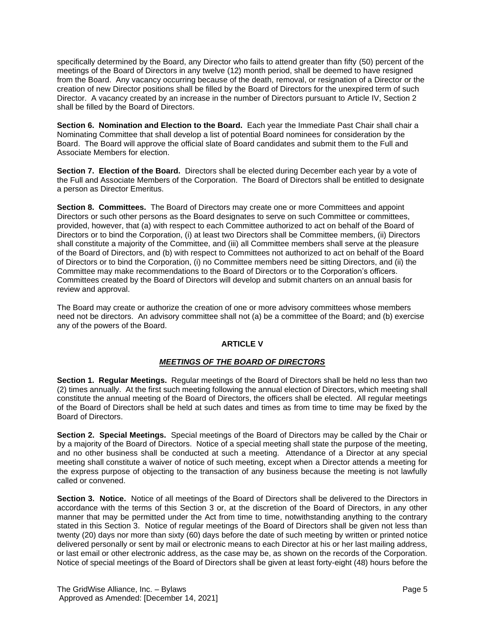specifically determined by the Board, any Director who fails to attend greater than fifty (50) percent of the meetings of the Board of Directors in any twelve (12) month period, shall be deemed to have resigned from the Board. Any vacancy occurring because of the death, removal, or resignation of a Director or the creation of new Director positions shall be filled by the Board of Directors for the unexpired term of such Director. A vacancy created by an increase in the number of Directors pursuant to Article IV, Section 2 shall be filled by the Board of Directors.

**Section 6. Nomination and Election to the Board.** Each year the Immediate Past Chair shall chair a Nominating Committee that shall develop a list of potential Board nominees for consideration by the Board. The Board will approve the official slate of Board candidates and submit them to the Full and Associate Members for election.

**Section 7. Election of the Board.** Directors shall be elected during December each year by a vote of the Full and Associate Members of the Corporation. The Board of Directors shall be entitled to designate a person as Director Emeritus.

**Section 8. Committees.** The Board of Directors may create one or more Committees and appoint Directors or such other persons as the Board designates to serve on such Committee or committees, provided, however, that (a) with respect to each Committee authorized to act on behalf of the Board of Directors or to bind the Corporation, (i) at least two Directors shall be Committee members, (ii) Directors shall constitute a majority of the Committee, and (iii) all Committee members shall serve at the pleasure of the Board of Directors, and (b) with respect to Committees not authorized to act on behalf of the Board of Directors or to bind the Corporation, (i) no Committee members need be sitting Directors, and (ii) the Committee may make recommendations to the Board of Directors or to the Corporation's officers. Committees created by the Board of Directors will develop and submit charters on an annual basis for review and approval.

The Board may create or authorize the creation of one or more advisory committees whose members need not be directors. An advisory committee shall not (a) be a committee of the Board; and (b) exercise any of the powers of the Board.

# **ARTICLE V**

## *MEETINGS OF THE BOARD OF DIRECTORS*

**Section 1. Regular Meetings.** Regular meetings of the Board of Directors shall be held no less than two (2) times annually. At the first such meeting following the annual election of Directors, which meeting shall constitute the annual meeting of the Board of Directors, the officers shall be elected. All regular meetings of the Board of Directors shall be held at such dates and times as from time to time may be fixed by the Board of Directors.

**Section 2. Special Meetings.** Special meetings of the Board of Directors may be called by the Chair or by a majority of the Board of Directors. Notice of a special meeting shall state the purpose of the meeting, and no other business shall be conducted at such a meeting. Attendance of a Director at any special meeting shall constitute a waiver of notice of such meeting, except when a Director attends a meeting for the express purpose of objecting to the transaction of any business because the meeting is not lawfully called or convened.

**Section 3. Notice.** Notice of all meetings of the Board of Directors shall be delivered to the Directors in accordance with the terms of this Section 3 or, at the discretion of the Board of Directors, in any other manner that may be permitted under the Act from time to time, notwithstanding anything to the contrary stated in this Section 3. Notice of regular meetings of the Board of Directors shall be given not less than twenty (20) days nor more than sixty (60) days before the date of such meeting by written or printed notice delivered personally or sent by mail or electronic means to each Director at his or her last mailing address, or last email or other electronic address, as the case may be, as shown on the records of the Corporation. Notice of special meetings of the Board of Directors shall be given at least forty-eight (48) hours before the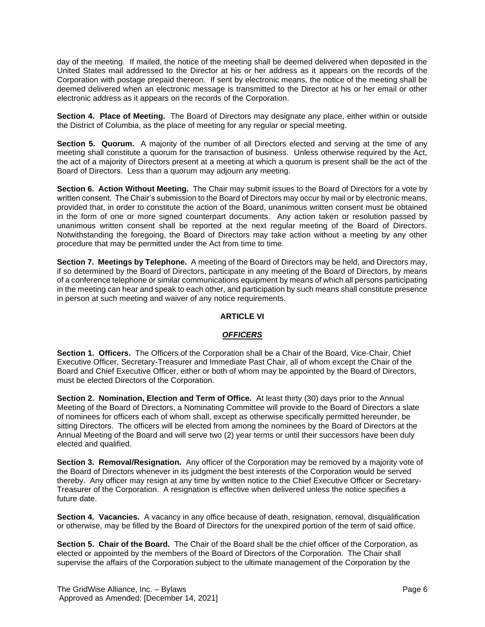day of the meeting. If mailed, the notice of the meeting shall be deemed delivered when deposited in the United States mail addressed to the Director at his or her address as it appears on the records of the Corporation with postage prepaid thereon. If sent by electronic means, the notice of the meeting shall be deemed delivered when an electronic message is transmitted to the Director at his or her email or other electronic address as it appears on the records of the Corporation.

**Section 4. Place of Meeting.** The Board of Directors may designate any place, either within or outside the District of Columbia, as the place of meeting for any regular or special meeting.

**Section 5. Quorum.** A majority of the number of all Directors elected and serving at the time of any meeting shall constitute a quorum for the transaction of business. Unless otherwise required by the Act, the act of a majority of Directors present at a meeting at which a quorum is present shall be the act of the Board of Directors. Less than a quorum may adjourn any meeting.

**Section 6. Action Without Meeting.** The Chair may submit issues to the Board of Directors for a vote by written consent. The Chair's submission to the Board of Directors may occur by mail or by electronic means, provided that, in order to constitute the action of the Board, unanimous written consent must be obtained in the form of one or more signed counterpart documents. Any action taken or resolution passed by unanimous written consent shall be reported at the next regular meeting of the Board of Directors. Notwithstanding the foregoing, the Board of Directors may take action without a meeting by any other procedure that may be permitted under the Act from time to time.

**Section 7. Meetings by Telephone.** A meeting of the Board of Directors may be held, and Directors may, if so determined by the Board of Directors, participate in any meeting of the Board of Directors, by means of a conference telephone or similar communications equipment by means of which all persons participating in the meeting can hear and speak to each other, and participation by such means shall constitute presence in person at such meeting and waiver of any notice requirements.

## **ARTICLE VI**

#### *OFFICERS*

**Section 1. Officers.** The Officers of the Corporation shall be a Chair of the Board, Vice-Chair, Chief Executive Officer, Secretary-Treasurer and Immediate Past Chair, all of whom except the Chair of the Board and Chief Executive Officer, either or both of whom may be appointed by the Board of Directors, must be elected Directors of the Corporation.

**Section 2. Nomination, Election and Term of Office.** At least thirty (30) days prior to the Annual Meeting of the Board of Directors, a Nominating Committee will provide to the Board of Directors a slate of nominees for officers each of whom shall, except as otherwise specifically permitted hereunder, be sitting Directors. The officers will be elected from among the nominees by the Board of Directors at the Annual Meeting of the Board and will serve two (2) year terms or until their successors have been duly elected and qualified.

**Section 3. Removal/Resignation.** Any officer of the Corporation may be removed by a majority vote of the Board of Directors whenever in its judgment the best interests of the Corporation would be served thereby. Any officer may resign at any time by written notice to the Chief Executive Officer or Secretary-Treasurer of the Corporation. A resignation is effective when delivered unless the notice specifies a future date.

**Section 4. Vacancies.** A vacancy in any office because of death, resignation, removal, disqualification or otherwise, may be filled by the Board of Directors for the unexpired portion of the term of said office.

**Section 5. Chair of the Board.** The Chair of the Board shall be the chief officer of the Corporation, as elected or appointed by the members of the Board of Directors of the Corporation. The Chair shall supervise the affairs of the Corporation subject to the ultimate management of the Corporation by the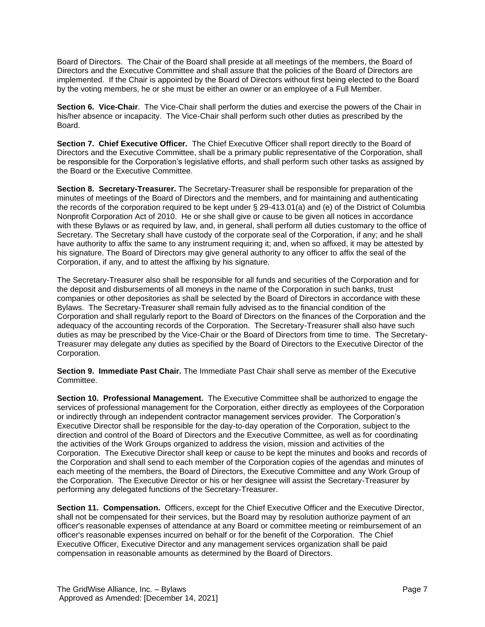Board of Directors. The Chair of the Board shall preside at all meetings of the members, the Board of Directors and the Executive Committee and shall assure that the policies of the Board of Directors are implemented. If the Chair is appointed by the Board of Directors without first being elected to the Board by the voting members, he or she must be either an owner or an employee of a Full Member.

**Section 6. Vice-Chair**. The Vice-Chair shall perform the duties and exercise the powers of the Chair in his/her absence or incapacity. The Vice-Chair shall perform such other duties as prescribed by the Board.

**Section 7. Chief Executive Officer.** The Chief Executive Officer shall report directly to the Board of Directors and the Executive Committee, shall be a primary public representative of the Corporation, shall be responsible for the Corporation's legislative efforts, and shall perform such other tasks as assigned by the Board or the Executive Committee.

**Section 8. Secretary-Treasurer.** The Secretary-Treasurer shall be responsible for preparation of the minutes of meetings of the Board of Directors and the members, and for maintaining and authenticating the records of the corporation required to be kept under § 29-413.01(a) and (e) of the District of Columbia Nonprofit Corporation Act of 2010. He or she shall give or cause to be given all notices in accordance with these Bylaws or as required by law, and, in general, shall perform all duties customary to the office of Secretary. The Secretary shall have custody of the corporate seal of the Corporation, if any; and he shall have authority to affix the same to any instrument requiring it; and, when so affixed, it may be attested by his signature. The Board of Directors may give general authority to any officer to affix the seal of the Corporation, if any, and to attest the affixing by his signature.

The Secretary-Treasurer also shall be responsible for all funds and securities of the Corporation and for the deposit and disbursements of all moneys in the name of the Corporation in such banks, trust companies or other depositories as shall be selected by the Board of Directors in accordance with these Bylaws. The Secretary-Treasurer shall remain fully advised as to the financial condition of the Corporation and shall regularly report to the Board of Directors on the finances of the Corporation and the adequacy of the accounting records of the Corporation. The Secretary-Treasurer shall also have such duties as may be prescribed by the Vice-Chair or the Board of Directors from time to time. The Secretary-Treasurer may delegate any duties as specified by the Board of Directors to the Executive Director of the Corporation.

**Section 9. Immediate Past Chair.** The Immediate Past Chair shall serve as member of the Executive Committee.

**Section 10. Professional Management.** The Executive Committee shall be authorized to engage the services of professional management for the Corporation, either directly as employees of the Corporation or indirectly through an independent contractor management services provider. The Corporation's Executive Director shall be responsible for the day-to-day operation of the Corporation, subject to the direction and control of the Board of Directors and the Executive Committee, as well as for coordinating the activities of the Work Groups organized to address the vision, mission and activities of the Corporation. The Executive Director shall keep or cause to be kept the minutes and books and records of the Corporation and shall send to each member of the Corporation copies of the agendas and minutes of each meeting of the members, the Board of Directors, the Executive Committee and any Work Group of the Corporation. The Executive Director or his or her designee will assist the Secretary-Treasurer by performing any delegated functions of the Secretary-Treasurer.

**Section 11. Compensation.** Officers, except for the Chief Executive Officer and the Executive Director, shall not be compensated for their services, but the Board may by resolution authorize payment of an officer's reasonable expenses of attendance at any Board or committee meeting or reimbursement of an officer's reasonable expenses incurred on behalf or for the benefit of the Corporation. The Chief Executive Officer, Executive Director and any management services organization shall be paid compensation in reasonable amounts as determined by the Board of Directors.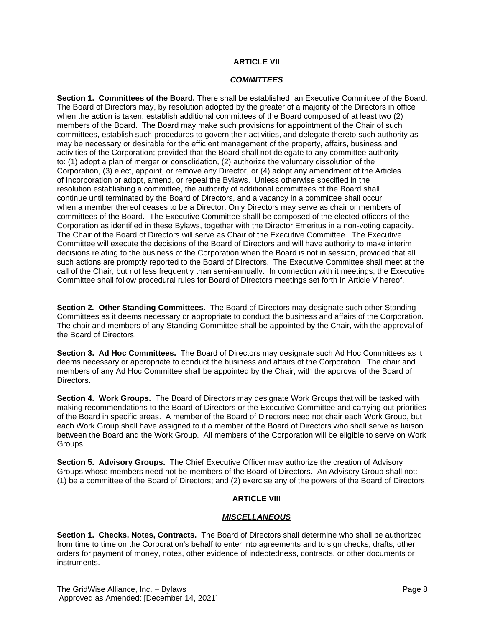## **ARTICLE VII**

#### *COMMITTEES*

**Section 1. Committees of the Board.** There shall be established, an Executive Committee of the Board. The Board of Directors may, by resolution adopted by the greater of a majority of the Directors in office when the action is taken, establish additional committees of the Board composed of at least two (2) members of the Board. The Board may make such provisions for appointment of the Chair of such committees, establish such procedures to govern their activities, and delegate thereto such authority as may be necessary or desirable for the efficient management of the property, affairs, business and activities of the Corporation; provided that the Board shall not delegate to any committee authority to: (1) adopt a plan of merger or consolidation, (2) authorize the voluntary dissolution of the Corporation, (3) elect, appoint, or remove any Director, or (4) adopt any amendment of the Articles of Incorporation or adopt, amend, or repeal the Bylaws. Unless otherwise specified in the resolution establishing a committee, the authority of additional committees of the Board shall continue until terminated by the Board of Directors, and a vacancy in a committee shall occur when a member thereof ceases to be a Director. Only Directors may serve as chair or members of committees of the Board. The Executive Committee shalll be composed of the elected officers of the Corporation as identified in these Bylaws, together with the Director Emeritus in a non-voting capacity. The Chair of the Board of Directors will serve as Chair of the Executive Committee. The Executive Committee will execute the decisions of the Board of Directors and will have authority to make interim decisions relating to the business of the Corporation when the Board is not in session, provided that all such actions are promptly reported to the Board of Directors. The Executive Committee shall meet at the call of the Chair, but not less frequently than semi-annually. In connection with it meetings, the Executive Committee shall follow procedural rules for Board of Directors meetings set forth in Article V hereof.

**Section 2***.* **Other Standing Committees.** The Board of Directors may designate such other Standing Committees as it deems necessary or appropriate to conduct the business and affairs of the Corporation. The chair and members of any Standing Committee shall be appointed by the Chair, with the approval of the Board of Directors.

**Section 3. Ad Hoc Committees.**The Board of Directors may designate such Ad Hoc Committees as it deems necessary or appropriate to conduct the business and affairs of the Corporation. The chair and members of any Ad Hoc Committee shall be appointed by the Chair, with the approval of the Board of Directors.

**Section 4. Work Groups.**The Board of Directors may designate Work Groups that will be tasked with making recommendations to the Board of Directors or the Executive Committee and carrying out priorities of the Board in specific areas. A member of the Board of Directors need not chair each Work Group, but each Work Group shall have assigned to it a member of the Board of Directors who shall serve as liaison between the Board and the Work Group. All members of the Corporation will be eligible to serve on Work Groups.

**Section 5. Advisory Groups.** The Chief Executive Officer may authorize the creation of Advisory Groups whose members need not be members of the Board of Directors. An Advisory Group shall not: (1) be a committee of the Board of Directors; and (2) exercise any of the powers of the Board of Directors.

## **ARTICLE VIII**

#### *MISCELLANEOUS*

**Section 1. Checks, Notes, Contracts.** The Board of Directors shall determine who shall be authorized from time to time on the Corporation's behalf to enter into agreements and to sign checks, drafts, other orders for payment of money, notes, other evidence of indebtedness, contracts, or other documents or instruments.